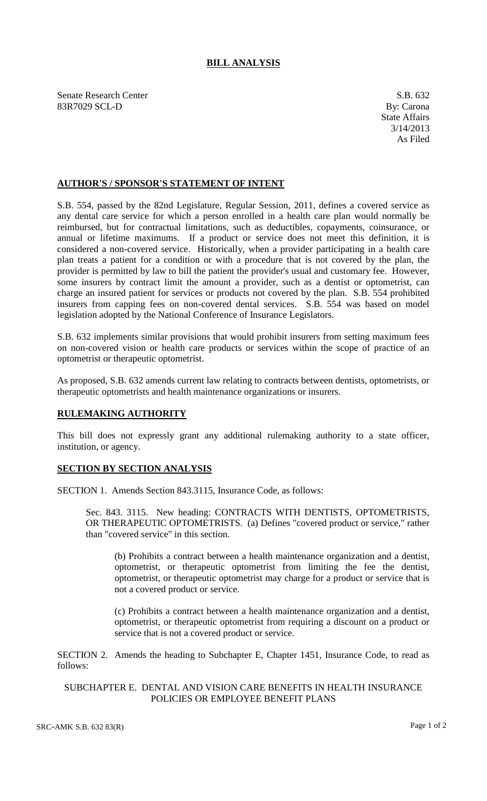## **BILL ANALYSIS**

Senate Research Center S.B. 632 83R7029 SCL-D By: Carona

## **AUTHOR'S / SPONSOR'S STATEMENT OF INTENT**

S.B. 554, passed by the 82nd Legislature, Regular Session, 2011, defines a covered service as any dental care service for which a person enrolled in a health care plan would normally be reimbursed, but for contractual limitations, such as deductibles, copayments, coinsurance, or annual or lifetime maximums. If a product or service does not meet this definition, it is considered a non-covered service. Historically, when a provider participating in a health care plan treats a patient for a condition or with a procedure that is not covered by the plan, the provider is permitted by law to bill the patient the provider's usual and customary fee. However, some insurers by contract limit the amount a provider, such as a dentist or optometrist, can charge an insured patient for services or products not covered by the plan. S.B. 554 prohibited insurers from capping fees on non-covered dental services. S.B. 554 was based on model legislation adopted by the National Conference of Insurance Legislators.

S.B. 632 implements similar provisions that would prohibit insurers from setting maximum fees on non-covered vision or health care products or services within the scope of practice of an optometrist or therapeutic optometrist.

As proposed, S.B. 632 amends current law relating to contracts between dentists, optometrists, or therapeutic optometrists and health maintenance organizations or insurers.

## **RULEMAKING AUTHORITY**

This bill does not expressly grant any additional rulemaking authority to a state officer, institution, or agency.

## **SECTION BY SECTION ANALYSIS**

SECTION 1. Amends Section 843.3115, Insurance Code, as follows:

Sec. 843. 3115. New heading: CONTRACTS WITH DENTISTS, OPTOMETRISTS, OR THERAPEUTIC OPTOMETRISTS. (a) Defines "covered product or service," rather than "covered service" in this section.

(b) Prohibits a contract between a health maintenance organization and a dentist, optometrist, or therapeutic optometrist from limiting the fee the dentist, optometrist, or therapeutic optometrist may charge for a product or service that is not a covered product or service.

(c) Prohibits a contract between a health maintenance organization and a dentist, optometrist, or therapeutic optometrist from requiring a discount on a product or service that is not a covered product or service.

SECTION 2. Amends the heading to Subchapter E, Chapter 1451, Insurance Code, to read as follows:

SUBCHAPTER E. DENTAL AND VISION CARE BENEFITS IN HEALTH INSURANCE POLICIES OR EMPLOYEE BENEFIT PLANS